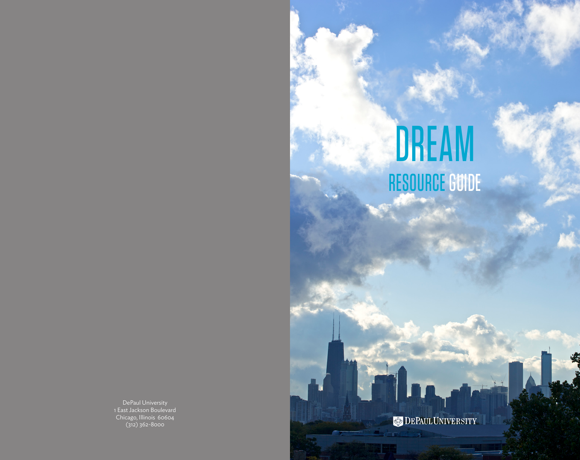DePaul University 1 East Jackson Boulevard Chicago, Illinois 60604 (312) 362-8000

# DREAM RESOURCE GUIDE

## DEPAUL UNIVERSITY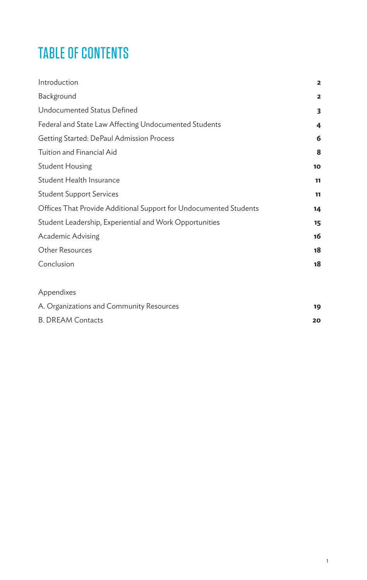## TABLE OF CONTENTS

| Introduction                                                      | $\overline{\mathbf{2}}$ |
|-------------------------------------------------------------------|-------------------------|
| Background                                                        | $\overline{\mathbf{2}}$ |
| Undocumented Status Defined                                       | 3                       |
| Federal and State Law Affecting Undocumented Students             | 4                       |
| Getting Started: DePaul Admission Process                         | 6                       |
| Tuition and Financial Aid                                         | 8                       |
| <b>Student Housing</b>                                            | 10                      |
| Student Health Insurance                                          | 11                      |
| <b>Student Support Services</b>                                   | 11                      |
| Offices That Provide Additional Support for Undocumented Students | 14                      |
| Student Leadership, Experiential and Work Opportunities           | 15                      |
| Academic Advising                                                 | 16                      |
| <b>Other Resources</b>                                            | 18                      |
| Conclusion                                                        | 18                      |
|                                                                   |                         |
| Appendixes                                                        |                         |

| A. Organizations and Community Resources |    |
|------------------------------------------|----|
| <b>B. DREAM Contacts</b>                 | 20 |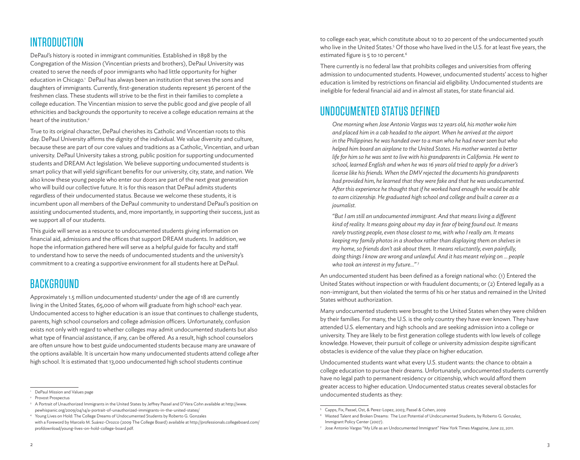## INTRODUCTION

DePaul's history is rooted in immigrant communities. Established in 1898 by the Congregation of the Mission (Vincentian priests and brothers), DePaul University was created to serve the needs of poor immigrants who had little opportunity for higher education in Chicago.<sup>1</sup> DePaul has always been an institution that serves the sons and daughters of immigrants. Currently, first-generation students represent 36 percent of the freshmen class. These students will strive to be the first in their families to complete a college education. The Vincentian mission to serve the public good and give people of all ethnicities and backgrounds the opportunity to receive a college education remains at the heart of the institution.<sup>2</sup>

True to its original character, DePaul cherishes its Catholic and Vincentian roots to this day. DePaul University affirms the dignity of the individual. We value diversity and culture, because these are part of our core values and traditions as a Catholic, Vincentian, and urban university. DePaul University takes a strong, public position for supporting undocumented students and DREAM Act legislation. We believe supporting undocumented students is smart policy that will yield significant benefits for our university, city, state, and nation. We also know these young people who enter our doors are part of the next great generation who will build our collective future. It is for this reason that DePaul admits students regardless of their undocumented status. Because we welcome these students, it is incumbent upon all members of the DePaul community to understand DePaul's position on assisting undocumented students, and, more importantly, in supporting their success, just as we support all of our students.

This guide will serve as a resource to undocumented students giving information on financial aid, admissions and the offices that support DREAM students. In addition, we hope the information gathered here will serve as a helpful guide for faculty and staff to understand how to serve the needs of undocumented students and the university's commitment to a creating a supportive environment for all students here at DePaul.

## BACKGROUND

Approximately 1.5 million undocumented students<sup>3</sup> under the age of 18 are currently living in the United States, 65,000 of whom will graduate from high school<sup>4</sup> each year. Undocumented access to higher education is an issue that continues to challenge students, parents, high school counselors and college admission officers. Unfortunately, confusion exists not only with regard to whether colleges may admit undocumented students but also what type of financial assistance, if any, can be offered. As a result, high school counselors are often unsure how to best guide undocumented students because many are unaware of the options available. It is uncertain how many undocumented students attend college after high school. It is estimated that 13,000 undocumented high school students continue

to college each year, which constitute about 10 to 20 percent of the undocumented youth who live in the United States.<sup>5</sup> Of those who have lived in the U.S. for at least five years, the estimated figure is 5 to 10 percent.<sup>6</sup>

There currently is no federal law that prohibits colleges and universities from offering admission to undocumented students. However, undocumented students' access to higher education is limited by restrictions on financial aid eligibility. Undocumented students are ineligible for federal financial aid and in almost all states, for state financial aid.

## UNDOCUMENTED STATUS DEFINED

*One morning when Jose Antonio Vargas was 12 years old, his mother woke him and placed him in a cab headed to the airport. When he arrived at the airport in the Philippines he was handed over to a man who he had never seen but who helped him board an airplane to the United States. His mother wanted a better life for him so he was sent to live with his grandparents in California. He went to school, learned English and when he was 16 years old tried to apply for a driver's license like his friends. When the DMV rejected the documents his grandparents had provided him, he learned that they were fake and that he was undocumented. After this experience he thought that if he worked hard enough he would be able to earn citizenship. He graduated high school and college and built a career as a journalist.* 

*"But I am still an undocumented immigrant. And that means living a different kind of reality. It means going about my day in fear of being found out. It means rarely trusting people, even those closest to me, with who I really am. It means keeping my family photos in a shoebox rather than displaying them on shelves in my home, so friends don't ask about them. It means reluctantly, even painfully, doing things I know are wrong and unlawful. And it has meant relying on … people who took an interest in my future…"* <sup>7</sup>

An undocumented student has been defined as a foreign national who: (1) Entered the United States without inspection or with fraudulent documents; or (2) Entered legally as a non-immigrant, but then violated the terms of his or her status and remained in the United States without authorization.

Many undocumented students were brought to the United States when they were children by their families. For many, the U.S. is the only country they have ever known. They have attended U.S. elementary and high schools and are seeking admission into a college or university. They are likely to be first generation college students with low levels of college knowledge. However, their pursuit of college or university admission despite significant obstacles is evidence of the value they place on higher education.

Undocumented students want what every U.S. student wants: the chance to obtain a college education to pursue their dreams. Unfortunately, undocumented students currently have no legal path to permanent residency or citizenship, which would afford them greater access to higher education. Undocumented status creates several obstacles for undocumented students as they:

<sup>1</sup> DePaul Mission and Values page

<sup>2</sup> Provost Prospectus

<sup>3</sup> A Portrait of Unauthorized Immigrants in the United States by Jeffrey Passel and D'Vera Cohn available at http://www. pewhispanic.org/2009/04/14/a-portrait-of-unauthorized-immigrants-in-the-united-states/

<sup>4</sup> Young Lives on Hold: The College Dreams of Undocumented Students by Roberto G. Gonzales

with a Foreword by Marcelo M. Suárez-Orozco (2009 The College Board) available at http://professionals.collegeboard.com/ profdownload/young-lives-on-hold-college-board.pdf.

<sup>5</sup> Capps, Fix, Passel, Ost, & Perez-Lopez, 2003; Passel & Cohen, 2009

<sup>6</sup> Wasted Talent and Broken Dreams: The Lost Potential of Undocumented Students, by Roberto G. Gonzalez, Immigrant Policy Center (2007).

<sup>7</sup> Jose Antonio Vargas "My Life as an Undocumented Immigrant" New York Times Magazine, June 22, 2011.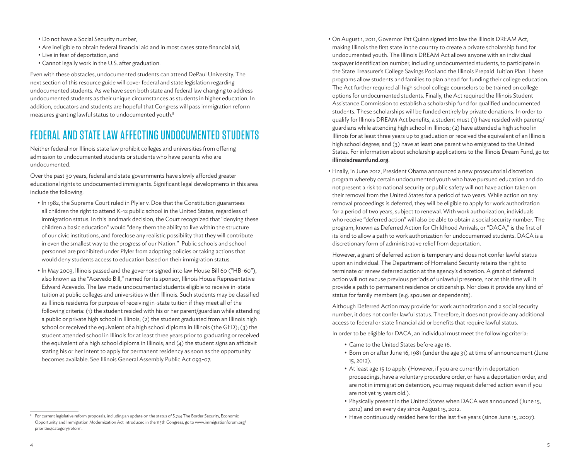- Do not have a Social Security number,
- Are ineligible to obtain federal financial aid and in most cases state financial aid,
- Live in fear of deportation, and
- Cannot legally work in the U.S. after graduation.

Even with these obstacles, undocumented students can attend DePaul University. The next section of this resource guide will cover federal and state legislation regarding undocumented students. As we have seen both state and federal law changing to address undocumented students as their unique circumstances as students in higher education. In addition, educators and students are hopeful that Congress will pass immigration reform measures granting lawful status to undocumented youth.8

## FEDERAL AND STATE LAW AFFECTING UNDOCUMENTED STUDENTS

Neither federal nor Illinois state law prohibit colleges and universities from offering admission to undocumented students or students who have parents who are undocumented.

Over the past 30 years, federal and state governments have slowly afforded greater educational rights to undocumented immigrants. Significant legal developments in this area include the following:

- In 1982, the Supreme Court ruled in Plyler v. Doe that the Constitution guarantees all children the right to attend K-12 public school in the United States, regardless of immigration status. In this landmark decision, the Court recognized that "denying these children a basic education" would "deny them the ability to live within the structure of our civic institutions, and foreclose any realistic possibility that they will contribute in even the smallest way to the progress of our Nation." Public schools and school personnel are prohibited under Plyler from adopting policies or taking actions that would deny students access to education based on their immigration status.
- In May 2003, Illinois passed and the governor signed into law House Bill 60 ("HB-60"), also known as the "Acevedo Bill," named for its sponsor, Illinois House Representative Edward Acevedo. The law made undocumented students eligible to receive in-state tuition at public colleges and universities within Illinois. Such students may be classified as Illinois residents for purpose of receiving in-state tuition if they meet all of the following criteria: (1) the student resided with his or her parent/guardian while attending a public or private high school in Illinois; (2) the student graduated from an Illinois high school or received the equivalent of a high school diploma in Illinois (the GED); (3) the student attended school in Illinois for at least three years prior to graduating or received the equivalent of a high school diploma in Illinois; and (4) the student signs an affidavit stating his or her intent to apply for permanent residency as soon as the opportunity becomes available. See Illinois General Assembly Public Act 093-07.
- On August 1, 2011, Governor Pat Quinn signed into law the Illinois DREAM Act, making Illinois the first state in the country to create a private scholarship fund for undocumented youth. The Illinois DREAM Act allows anyone with an individual taxpayer identification number, including undocumented students, to participate in the State Treasurer's College Savings Pool and the Illinois Prepaid Tuition Plan. These programs allow students and families to plan ahead for funding their college education. The Act further required all high school college counselors to be trained on college options for undocumented students. Finally, the Act required the Illinois Student Assistance Commission to establish a scholarship fund for qualified undocumented students. These scholarships will be funded entirely by private donations. In order to qualify for Illinois DREAM Act benefits, a student must (1) have resided with parents/ guardians while attending high school in Illinois; (2) have attended a high school in Illinois for at least three years up to graduation or received the equivalent of an Illinois high school degree; and (3) have at least one parent who emigrated to the United States. For information about scholarship applications to the Illinois Dream Fund, go to: illinoisdreamfund.org.
- Finally, in June 2012, President Obama announced a new prosecutorial discretion program whereby certain undocumented youth who have pursued education and do not present a risk to national security or public safety will not have action taken on their removal from the United States for a period of two years. While action on any removal proceedings is deferred, they will be eligible to apply for work authorization for a period of two years, subject to renewal. With work authorization, individuals who receive "deferred action" will also be able to obtain a social security number. The program, known as Deferred Action for Childhood Arrivals, or "DACA," is the first of its kind to allow a path to work authorization for undocumented students. DACA is a discretionary form of administrative relief from deportation.

However, a grant of deferred action is temporary and does not confer lawful status upon an individual. The Department of Homeland Security retains the right to terminate or renew deferred action at the agency's discretion. A grant of deferred action will not excuse previous periods of unlawful presence, nor at this time will it provide a path to permanent residence or citizenship. Nor does it provide any kind of status for family members (e.g. spouses or dependents).

Although Deferred Action may provide for work authorization and a social security number, it does not confer lawful status. Therefore, it does not provide any additional access to federal or state financial aid or benefits that require lawful status.

In order to be eligible for DACA, an individual must meet the following criteria:

- Came to the United States before age 16.
- Born on or after June 16, 1981 (under the age 31) at time of announcement (June 15, 2012).
- At least age 15 to apply. (However, if you are currently in deportation proceedings, have a voluntary procedure order, or have a deportation order, and are not in immigration detention, you may request deferred action even if you are not yet 15 years old.).
- Physically present in the United States when DACA was announced (June 15, 2012) and on every day since August 15, 2012.
- Have continuously resided here for the last five years (since June 15, 2007).

<sup>&</sup>lt;sup>8</sup> For current legislative reform proposals, including an update on the status of S.744 The Border Security, Economic Opportunity and Immigration Modernization Act introduced in the 113th Congress, go to www.immigrationforum.org/ priorities/category/reform.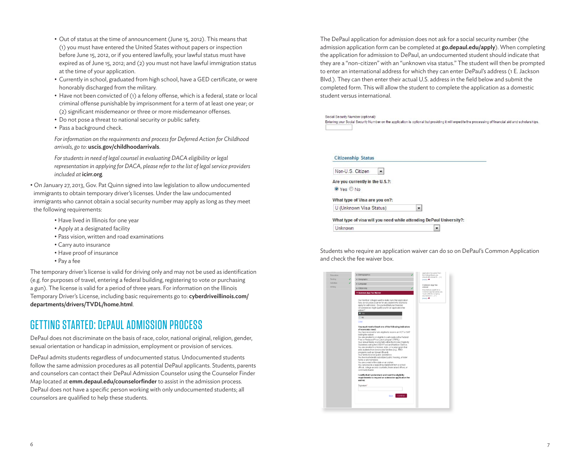- Out of status at the time of announcement (June 15, 2012). This means that (1) you must have entered the United States without papers or inspection before June 15, 2012, or if you entered lawfully, your lawful status must have expired as of June 15, 2012; and (2) you must not have lawful immigration status at the time of your application.
- Currently in school, graduated from high school, have a GED certificate, or were honorably discharged from the military.
- Have not been convicted of (1) a felony offense, which is a federal, state or local criminal offense punishable by imprisonment for a term of at least one year; or (2) significant misdemeanor or three or more misdemeanor offenses.
- Do not pose a threat to national security or public safety.
- Pass a background check.

*For information on the requirements and process for Deferred Action for Childhood arrivals, go to:* uscis.gov/childhoodarrivals.

*For students in need of legal counsel in evaluating DACA eligibility or legal representation in applying for DACA, please refer to the list of legal service providers included at* icirr.org*.* 

• On January 27, 2013, Gov. Pat Quinn signed into law legislation to allow undocumented immigrants to obtain temporary driver's licenses. Under the law undocumented immigrants who cannot obtain a social security number may apply as long as they meet the following requirements:

- Have lived in Illinois for one year
- Apply at a designated facility
- Pass vision, written and road examinations
- Carry auto insurance
- Have proof of insurance
- Pay a fee

The temporary driver's license is valid for driving only and may not be used as identification (e.g. for purposes of travel, entering a federal building, registering to vote or purchasing a gun). The license is valid for a period of three years. For information on the Illinois Temporary Driver's License, including basic requirements go to: cyberdriveillinois.com/ departments/drivers/TVDL/home.html.

## GETTING STARTED: DEPAUL ADMISSION PROCESS

DePaul does not discriminate on the basis of race, color, national original, religion, gender, sexual orientation or handicap in admission, employment or provision of services.

DePaul admits students regardless of undocumented status. Undocumented students follow the same admission procedures as all potential DePaul applicants. Students, parents and counselors can contact their DePaul Admission Counselor using the Counselor Finder Map located at **emm.depaul.edu/counselorfinder** to assist in the admission process. DePaul does not have a specific person working with only undocumented students; all counselors are qualified to help these students.

The DePaul application for admission does not ask for a social security number (the admission application form can be completed at **go.depaul.edu/apply**). When completing the application for admission to DePaul, an undocumented student should indicate that they are a "non-citizen" with an "unknown visa status." The student will then be prompted to enter an international address for which they can enter DePaul's address (1 E. Jackson Blvd.). They can then enter their actual U.S. address in the field below and submit the completed form. This will allow the student to complete the application as a domestic student versus international.

#### Social Security Number (optional)

Entering your Social Security Number on the application is optional but providing it will expedite the processing of financial aid and scholarships

| <b>Citizenship Status</b>                                           |  |
|---------------------------------------------------------------------|--|
| Non-U.S. Citizen                                                    |  |
| Gre you currently in the U.S.?:                                     |  |
| O Yes O No                                                          |  |
| Vhat type of Visa are you on?:                                      |  |
| U (Unknown Visa Status)                                             |  |
| Vhat type of visa will you need while attending DePaul University?: |  |
| Unknown                                                             |  |

Students who require an application waiver can do so on DePaul's Common Application and check the fee waiver box.

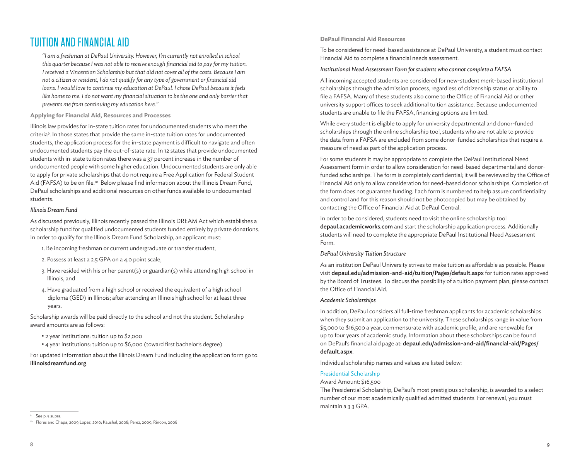## TUITION AND FINANCIAL AID

*"I am a freshman at DePaul University. However, I'm currently not enrolled in school this quarter because I was not able to receive enough financial aid to pay for my tuition. I received a Vincentian Scholarship but that did not cover all of the costs. Because I am not a citizen or resident, I do not qualify for any type of government or financial aid loans. I would love to continue my education at DePaul. I chose DePaul because it feels like home to me. I do not want my financial situation to be the one and only barrier that prevents me from continuing my education here."*

#### **Applying for Financial Aid, Resources and Processes**

Illinois law provides for in-state tuition rates for undocumented students who meet the criteria9 . In those states that provide the same in-state tuition rates for undocumented students, the application process for the in-state payment is difficult to navigate and often undocumented students pay the out-of-state rate. In 12 states that provide undocumented students with in-state tuition rates there was a 37 percent increase in the number of undocumented people with some higher education. Undocumented students are only able to apply for private scholarships that do not require a Free Application for Federal Student Aid (FAFSA) to be on file.<sup>10</sup> Below please find information about the Illinois Dream Fund, DePaul scholarships and additional resources on other funds available to undocumented students.

#### *Illinois Dream Fund*

As discussed previously, Illinois recently passed the Illinois DREAM Act which establishes a scholarship fund for qualified undocumented students funded entirely by private donations. In order to qualify for the Illinois Dream Fund Scholarship, an applicant must:

- 1. Be incoming freshman or current undergraduate or transfer student,
- 2. Possess at least a 2.5 GPA on a 4.0 point scale,
- 3. Have resided with his or her parent(s) or guardian(s) while attending high school in Illinois, and
- 4. Have graduated from a high school or received the equivalent of a high school diploma (GED) in Illinois; after attending an Illinois high school for at least three years.

Scholarship awards will be paid directly to the school and not the student. Scholarship award amounts are as follows:

- 2 year institutions: tuition up to \$2,000
- 4 year institutions: tuition up to \$6,000 (toward first bachelor's degree)

For updated information about the Illinois Dream Fund including the application form go to: illinoisdreamfund.org.

#### **DePaul Financial Aid Resources**

To be considered for need-based assistance at DePaul University, a student must contact Financial Aid to complete a financial needs assessment.

#### *Institutional Need Assessment Form for students who cannot complete a FAFSA*

All incoming accepted students are considered for new-student merit-based institutional scholarships through the admission process, regardless of citizenship status or ability to file a FAFSA. Many of these students also come to the Office of Financial Aid or other university support offices to seek additional tuition assistance. Because undocumented students are unable to file the FAFSA, financing options are limited.

While every student is eligible to apply for university departmental and donor-funded scholarships through the online scholarship tool, students who are not able to provide the data from a FAFSA are excluded from some donor-funded scholarships that require a measure of need as part of the application process.

For some students it may be appropriate to complete the DePaul Institutional Need Assessment form in order to allow consideration for need-based departmental and donorfunded scholarships. The form is completely confidential; it will be reviewed by the Office of Financial Aid only to allow consideration for need-based donor scholarships. Completion of the form does not guarantee funding. Each form is numbered to help assure confidentiality and control and for this reason should not be photocopied but may be obtained by contacting the Office of Financial Aid at DePaul Central.

In order to be considered, students need to visit the online scholarship tool depaul.academicworks.com and start the scholarship application process. Additionally students will need to complete the appropriate DePaul Institutional Need Assessment Form.

#### *DePaul University Tuition Structure*

As an institution DePaul University strives to make tuition as affordable as possible. Please visit depaul.edu/admission-and-aid/tuition/Pages/default.aspx for tuition rates approved by the Board of Trustees. To discuss the possibility of a tuition payment plan, please contact the Office of Financial Aid.

#### *Academic Scholarships*

In addition, DePaul considers all full-time freshman applicants for academic scholarships when they submit an application to the university. These scholarships range in value from \$5,000 to \$16,500 a year, commensurate with academic profile, and are renewable for up to four years of academic study. Information about these scholarships can be found on DePaul's financial aid page at: depaul.edu/admission-and-aid/financial-aid/Pages/ default.aspx.

Individual scholarship names and values are listed below:

#### Presidential Scholarship

Award Amount: \$16,500

The Presidential Scholarship, DePaul's most prestigious scholarship, is awarded to a select number of our most academically qualified admitted students. For renewal, you must maintain a 3.3 GPA.

<sup>9</sup> See p. 5 supra.

<sup>10</sup> Flores and Chapa, 2009;Lopez, 2010; Kaushal, 2008; Perez, 2009; Rincon, 2008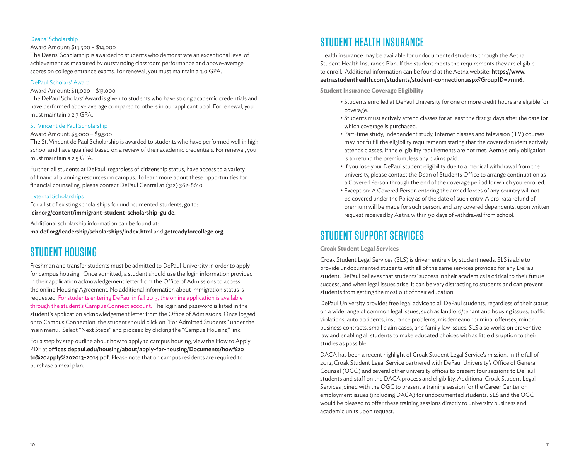#### Deans' Scholarship

#### Award Amount: \$13,500 – \$14,000

The Deans' Scholarship is awarded to students who demonstrate an exceptional level of achievement as measured by outstanding classroom performance and above-average scores on college entrance exams. For renewal, you must maintain a 3.0 GPA.

#### DePaul Scholars' Award

#### Award Amount: \$11,000 – \$13,000

The DePaul Scholars' Award is given to students who have strong academic credentials and have performed above average compared to others in our applicant pool. For renewal, you must maintain a 2.7 GPA.

#### St. Vincent de Paul Scholarship

#### Award Amount: \$5,000 – \$9,500

The St. Vincent de Paul Scholarship is awarded to students who have performed well in high school and have qualified based on a review of their academic credentials. For renewal, you must maintain a 2.5 GPA.

Further, all students at DePaul, regardless of citizenship status, have access to a variety of financial planning resources on campus. To learn more about these opportunities for financial counseling, please contact DePaul Central at (312) 362-8610.

#### External Scholarships

For a list of existing scholarships for undocumented students, go to: icirr.org/content/immigrant-student-scholarship-guide.

Additional scholarship information can be found at: maldef.org/leadership/scholarships/index.html and getreadyforcollege.org.

## STUDENT HOUSING

Freshman and transfer students must be admitted to DePaul University in order to apply for campus housing. Once admitted, a student should use the login information provided in their application acknowledgement letter from the Office of Admissions to access the online Housing Agreement. No additional information about immigration status is requested. For students entering DePaul in fall 2013, the online application is available through the student's Campus Connect account. The login and password is listed in the student's application acknowledgement letter from the Office of Admissions. Once logged onto Campus Connection, the student should click on "For Admitted Students" under the main menu. Select "Next Steps" and proceed by clicking the "Campus Housing" link.

For a step by step outline about how to apply to campus housing, view the How to Apply PDF at offices.depaul.edu/housing/about/apply-for-housing/Documents/how%20 to%20apply%202013-2014.pdf. Please note that on campus residents are required to purchase a meal plan.

## STUDENT HEALTH INSURANCE

Health insurance may be available for undocumented students through the Aetna Student Health Insurance Plan. If the student meets the requirements they are eligible to enroll. Additional information can be found at the Aetna website: https://www. aetnastudenthealth.com/students/student-connection.aspx?GroupID=711116.

**Student Insurance Coverage Eligibility**

- Students enrolled at DePaul University for one or more credit hours are eligible for coverage.
- Students must actively attend classes for at least the first 31 days after the date for which coverage is purchased.
- Part-time study, independent study, Internet classes and television (TV) courses may not fulfill the eligibility requirements stating that the covered student actively attends classes. If the eligibility requirements are not met, Aetna's only obligation is to refund the premium, less any claims paid.
- If you lose your DePaul student eligibility due to a medical withdrawal from the university, please contact the Dean of Students Office to arrange continuation as a Covered Person through the end of the coverage period for which you enrolled.
- Exception: A Covered Person entering the armed forces of any country will not be covered under the Policy as of the date of such entry. A pro-rata refund of premium will be made for such person, and any covered dependents, upon written request received by Aetna within 90 days of withdrawal from school.

## STUDENT SUPPORT SERVICES

#### **Croak Student Legal Services**

Croak Student Legal Services (SLS) is driven entirely by student needs. SLS is able to provide undocumented students with all of the same services provided for any DePaul student. DePaul believes that students' success in their academics is critical to their future success, and when legal issues arise, it can be very distracting to students and can prevent students from getting the most out of their education.

DePaul University provides free legal advice to all DePaul students, regardless of their status, on a wide range of common legal issues, such as landlord/tenant and housing issues, traffic violations, auto accidents, insurance problems, misdemeanor criminal offenses, minor business contracts, small claim cases, and family law issues. SLS also works on preventive law and enabling all students to make educated choices with as little disruption to their studies as possible.

DACA has been a recent highlight of Croak Student Legal Service's mission. In the fall of 2012, Croak Student Legal Service partnered with DePaul University's Office of General Counsel (OGC) and several other university offices to present four sessions to DePaul students and staff on the DACA process and eligibility. Additional Croak Student Legal Services joined with the OGC to present a training session for the Career Center on employment issues (including DACA) for undocumented students. SLS and the OGC would be pleased to offer these training sessions directly to university business and academic units upon request.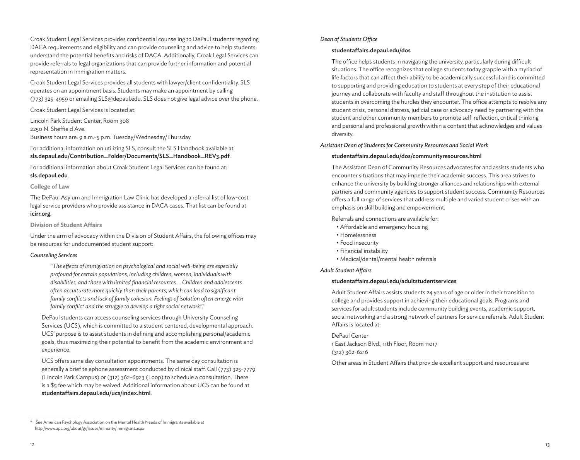Croak Student Legal Services provides confidential counseling to DePaul students regarding DACA requirements and eligibility and can provide counseling and advice to help students understand the potential benefits and risks of DACA. Additionally, Croak Legal Services can provide referrals to legal organizations that can provide further information and potential representation in immigration matters.

Croak Student Legal Services provides all students with lawyer/client confidentiality. SLS operates on an appointment basis. Students may make an appointment by calling (773) 325-4959 or emailing SLS@depaul.edu. SLS does not give legal advice over the phone.

Croak Student Legal Services is located at:

Lincoln Park Student Center, Room 308 2250 N. Sheffield Ave. Business hours are: 9 a.m.-5 p.m. Tuesday/Wednesday/Thursday

For additional information on utilizing SLS, consult the SLS Handbook available at: sls.depaul.edu/Contribution\_Folder/Documents/SLS\_Handbook\_REV3.pdf.

For additional information about Croak Student Legal Services can be found at: sls.depaul.edu.

#### **College of Law**

The DePaul Asylum and Immigration Law Clinic has developed a referral list of low-cost legal service providers who provide assistance in DACA cases. That list can be found at icirr.org.

#### **Division of Student Affairs**

Under the arm of advocacy within the Division of Student Affairs, the following offices may be resources for undocumented student support:

#### *Counseling Services*

*"The effects of immigration on psychological and social well-being are especially profound for certain populations, including children, women, individuals with disabilities, and those with limited financial resources…. Children and adolescents often acculturate more quickly than their parents, which can lead to significant family conflicts and lack of family cohesion. Feelings of isolation often emerge with family conflict and the struggle to develop a tight social network".11*

DePaul students can access counseling services through University Counseling Services (UCS), which is committed to a student centered, developmental approach. UCS' purpose is to assist students in defining and accomplishing personal/academic goals, thus maximizing their potential to benefit from the academic environment and experience.

UCS offers same day consultation appointments. The same day consultation is generally a brief telephone assessment conducted by clinical staff. Call (773) 325-7779 (Lincoln Park Campus) or (312) 362-6923 (Loop) to schedule a consultation. There is a \$5 fee which may be waived. Additional information about UCS can be found at: studentaffairs.depaul.edu/ucs/index.html.

#### *Dean of Students Office*

#### studentaffairs.depaul.edu/dos

The office helps students in navigating the university, particularly during difficult situations. The office recognizes that college students today grapple with a myriad of life factors that can affect their ability to be academically successful and is committed to supporting and providing education to students at every step of their educational journey and collaborate with faculty and staff throughout the institution to assist students in overcoming the hurdles they encounter. The office attempts to resolve any student crisis, personal distress, judicial case or advocacy need by partnering with the student and other community members to promote self-reflection, critical thinking and personal and professional growth within a context that acknowledges and values diversity.

#### *Assistant Dean of Students for Community Resources and Social Work*

#### studentaffairs.depaul.edu/dos/communityresources.html

The Assistant Dean of Community Resources advocates for and assists students who encounter situations that may impede their academic success. This area strives to enhance the university by building stronger alliances and relationships with external partners and community agencies to support student success. Community Resources offers a full range of services that address multiple and varied student crises with an emphasis on skill building and empowerment.

Referrals and connections are available for:

- Affordable and emergency housing
- Homelessness
- Food insecurity
- Financial instability
- Medical/dental/mental health referrals

#### *Adult Student Affairs*

#### studentaffairs.depaul.edu/adultstudentservices

Adult Student Affairs assists students 24 years of age or older in their transition to college and provides support in achieving their educational goals. Programs and services for adult students include community building events, academic support, social networking and a strong network of partners for service referrals. Adult Student Affairs is located at:

DePaul Center 1 East Jackson Blvd., 11th Floor, Room 11017 (312) 362-6216

Other areas in Student Affairs that provide excellent support and resources are:

<sup>&</sup>lt;sup>11</sup> See American Psychology Association on the Mental Health Needs of Immigrants available at http://www.apa.org/about/gr/issues/minority/immigrant.aspx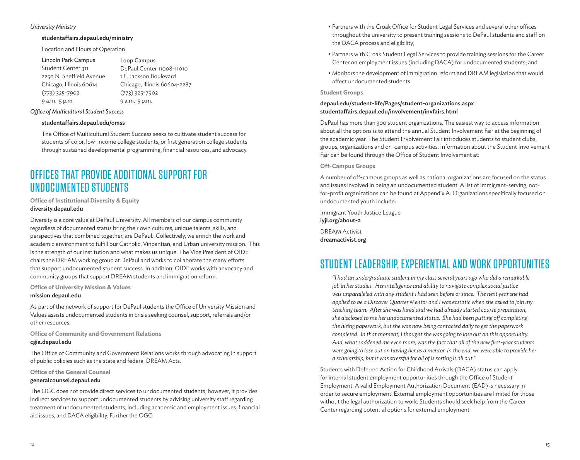#### *University Ministry*

#### studentaffairs.depaul.edu/ministry

Location and Hours of Operation

| Lincoln Park Campus      | Loop Campus                  |
|--------------------------|------------------------------|
| Student Center २११       | DePaul Center 11008-11010    |
| 2250 N. Sheffield Avenue | 1 E. Jackson Boulevard       |
| Chicago, Illinois 60614  | Chicago, Illinois 60604-2287 |
| (773) 325-7902           | $(773)$ 325-7902             |
| 9 a.m.-5 p.m.            | 9 a.m.-5 p.m.                |
|                          |                              |

#### *Office of Multicultural Student Success*

#### studentaffairs.depaul.edu/omss

The Office of Multicultural Student Success seeks to cultivate student success for students of color, low-income college students, or first generation college students through sustained developmental programming, financial resources, and advocacy.

## OFFICES THAT PROVIDE ADDITIONAL SUPPORT FOR UNDOCUMENTED STUDENTS

**Office of Institutional Diversity & Equity**

#### diversity.depaul.edu

Diversity is a core value at DePaul University. All members of our campus community regardless of documented status bring their own cultures, unique talents, skills, and perspectives that combined together, are DePaul. Collectively, we enrich the work and academic environment to fulfill our Catholic, Vincentian, and Urban university mission. This is the strength of our institution and what makes us unique. The Vice President of OIDE chairs the DREAM working group at DePaul and works to collaborate the many efforts that support undocumented student success. In addition, OIDE works with advocacy and community groups that support DREAM students and immigration reform.

**Office of University Mission & Values**

#### mission.depaul.edu

As part of the network of support for DePaul students the Office of University Mission and Values assists undocumented students in crisis seeking counsel, support, referrals and/or other resources.

**Office of Community and Government Relations** cgia.depaul.edu

The Office of Community and Government Relations works through advocating in support of public policies such as the state and federal DREAM Acts.

#### **Office of the General Counsel**

#### generalcounsel.depaul.edu

The OGC does not provide direct services to undocumented students; however, it provides indirect services to support undocumented students by advising university staff regarding treatment of undocumented students, including academic and employment issues, financial aid issues, and DACA eligibility. Further the OGC:

- Partners with the Croak Office for Student Legal Services and several other offices throughout the university to present training sessions to DePaul students and staff on the DACA process and eligibility;
- Partners with Croak Student Legal Services to provide training sessions for the Career Center on employment issues (including DACA) for undocumented students; and
- Monitors the development of immigration reform and DREAM legislation that would affect undocumented students.

#### **Student Groups**

#### depaul.edu/student-life/Pages/student-organizations.aspx studentaffairs.depaul.edu/involvement/invfairs.html

DePaul has more than 300 student organizations. The easiest way to access information about all the options is to attend the annual Student Involvement Fair at the beginning of the academic year. The Student Involvement Fair introduces students to student clubs, groups, organizations and on-campus activities. Information about the Student Involvement Fair can be found through the Office of Student Involvement at:

#### **Off-Campus Groups**

dreamactivist.org

A number of off-campus groups as well as national organizations are focused on the status and issues involved in being an undocumented student. A list of immigrant-serving, notfor-profit organizations can be found at Appendix A. Organizations specifically focused on undocumented youth include:

Immigrant Youth Justice League iyjl.org/about-2 DREAM Activist

## STUDENT LEADERSHIP, EXPERIENTIAL AND WORK OPPORTUNITIES

*"I had an undergraduate student in my class several years ago who did a remarkable job in her studies. Her intelligence and ability to navigate complex social justice was unparalleled with any student I had seen before or since. The next year she had applied to be a Discover Quarter Mentor and I was ecstatic when she asked to join my teaching team. After she was hired and we had already started course preparation, she disclosed to me her undocumented status. She had been putting off completing the hiring paperwork, but she was now being contacted daily to get the paperwork completed. In that moment, I thought she was going to lose out on this opportunity. And, what saddened me even more, was the fact that all of the new first-year students were going to lose out on having her as a mentor. In the end, we were able to provide her a scholarship, but it was stressful for all of is sorting it all out."*

Students with Deferred Action for Childhood Arrivals (DACA) status can apply for internal student employment opportunities through the Office of Student Employment. A valid Employment Authorization Document (EAD) is necessary in order to secure employment. External employment opportunities are limited for those without the legal authorization to work. Students should seek help from the Career Center regarding potential options for external employment.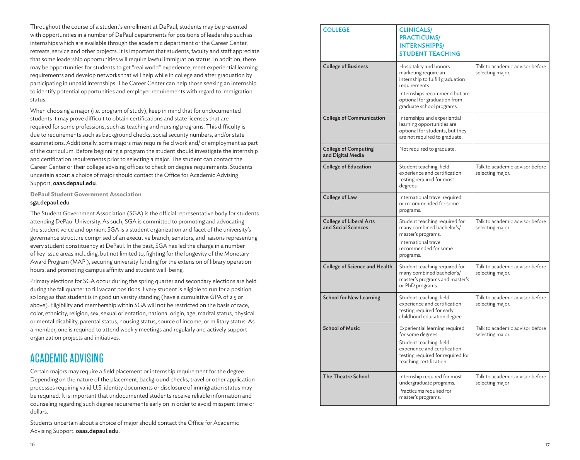Throughout the course of a student's enrollment at DePaul, students may be presented with opportunities in a number of DePaul departments for positions of leadership such as internships which are available through the academic department or the Career Center, retreats, service and other projects. It is important that students, faculty and staff appreciate that some leadership opportunities will require lawful immigration status. In addition, there may be opportunities for students to get "real world" experience, meet experiential learning requirements and develop networks that will help while in college and after graduation by participating in unpaid internships. The Career Center can help those seeking an internship to identify potential opportunities and employer requirements with regard to immigration status.

When choosing a major (i.e. program of study), keep in mind that for undocumented students it may prove difficult to obtain certifications and state licenses that are required for some professions, such as teaching and nursing programs. This difficulty is due to requirements such as background checks, social security numbers, and/or state examinations. Additionally, some majors may require field work and/ or employment as part of the curriculum. Before beginning a program the student should investigate the internship and certification requirements prior to selecting a major. The student can contact the Career Center or their college advising offices to check on degree requirements. Students uncertain about a choice of major should contact the Office for Academic Advising Support, oaas.depaul.edu.

**DePaul Student Government Association** sga.depaul.edu

The Student Government Association (SGA) is the official representative body for students attending DePaul University. As such, SGA is committed to promoting and advocating the student voice and opinion. SGA is a student organization and facet of the university's governance structure comprised of an executive branch, senators, and liaisons representing every student constituency at DePaul. In the past, SGA has led the charge in a number of key issue areas including, but not limited to, fighting for the longevity of the Monetary Award Program (MAP ), securing university funding for the extension of library operation hours, and promoting campus affinity and student well-being.

Primary elections for SGA occur during the spring quarter and secondary elections are held during the fall quarter to fill vacant positions. Every student is eligible to run for a position so long as that student is in good university standing (have a cumulative GPA of 2.5 or above). Eligibility and membership within SGA will not be restricted on the basis of race, color, ethnicity, religion, sex, sexual orientation, national origin, age, marital status, physical or mental disability, parental status, housing status, source of income, or military status. As a member, one is required to attend weekly meetings and regularly and actively support organization projects and initiatives.

## ACADEMIC ADVISING

Certain majors may require a field placement or internship requirement for the degree. Depending on the nature of the placement, background checks, travel or other application processes requiring valid U.S. identity documents or disclosure of immigration status may be required. It is important that undocumented students receive reliable information and counseling regarding such degree requirements early on in order to avoid misspent time or dollars.

Students uncertain about a choice of major should contact the Office for Academic Advising Support: oaas.depaul.edu.

| <b>COLLEGE</b>                                        | <b>CLINICALS/</b><br><b>PRACTICUMS/</b><br><b>INTERNSHIPPS/</b><br><b>STUDENT TEACHING</b>                                                                                                        |                                                     |
|-------------------------------------------------------|---------------------------------------------------------------------------------------------------------------------------------------------------------------------------------------------------|-----------------------------------------------------|
| <b>College of Business</b>                            | Hospitality and honors<br>marketing require an<br>internship to fulfill graduation<br>requirements.<br>Internships recommend but are<br>optional for graduation from<br>graduate school programs. | Talk to academic advisor before<br>selecting major. |
| <b>College of Communication</b>                       | Internships and experiential<br>learning opportunities are<br>optional for students, but they<br>are not required to graduate.                                                                    |                                                     |
| <b>College of Computing</b><br>and Digital Media      | Not required to graduate.                                                                                                                                                                         |                                                     |
| <b>College of Education</b>                           | Student teaching, field<br>experience and certification<br>testing required for most<br>degrees.                                                                                                  | Talk to academic advisor before<br>selecting major. |
| <b>College of Law</b>                                 | International travel required<br>or recommended for some<br>programs.                                                                                                                             |                                                     |
| <b>College of Liberal Arts</b><br>and Social Sciences | Student teaching required for<br>many combined bachelor's/<br>master's programs.<br>International travel<br>recommended for some<br>programs.                                                     | Talk to academic advisor before<br>selecting major. |
| <b>College of Science and Health</b>                  | Student teaching required for<br>many combined bachelor's/<br>master's programs and master's<br>or PhD programs.                                                                                  | Talk to academic advisor before<br>selecting major. |
| <b>School for New Learning</b>                        | Student teaching, field<br>experience and certification<br>testing required for early<br>childhood education degree.                                                                              | Talk to academic advisor before<br>selecting major. |
| <b>School of Music</b>                                | Experiential learning required<br>for some degrees.<br>Student teaching, field<br>experience and certification<br>testing required for required for<br>teaching certification.                    | Talk to academic advisor before<br>selecting major. |
| <b>The Theatre School</b>                             | Internship required for most<br>undergraduate programs.<br>Practicums required for<br>master's programs.                                                                                          | Talk to academic advisor before<br>selecting major  |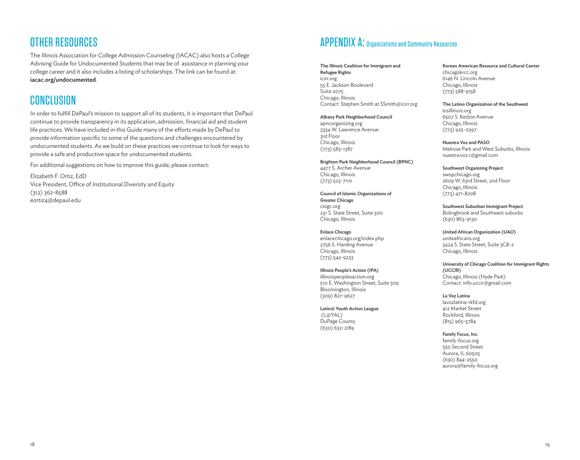## OTHER RESOURCES

The Illinois Association for College Admission Counseling (IACAC) also hosts a College Advising Guide for Undocumented Students that may be of assistance in planning your college career and it also includes a listing of scholarships. The link can be found at: iacac.org/undocumented.

## CONCLUSION

In order to fulfill DePaul's mission to support all of its students, it is important that DePaul continue to provide transparency in its application, admission, financial aid and student life practices. We have included in this Guide many of the efforts made by DePaul to provide information specific to some of the questions and challenges encountered by undocumented students. As we build on these practices we continue to look for ways to provide a safe and productive space for undocumented students.

For additional suggestions on how to improve this guide, please contact:

Elizabeth F. Ortiz, EdD Vice President, Office of Institutional Diversity and Equity (312) 362-8588 eortiz4@depaul.edu

## APPENDIX A: Organizations and Community Resources

The Illinois Coalition for Immigrant and Refugee Rights icirr.org 55 E. Jackson Boulevard Suite 2075 Chicago, Illinois Contact: Stephen Smith at SSmith@icirr.org

Albany Park Neighborhood Council

apncorganizing.org 3334 W. Lawrence Avenue 3rd Floor Chicago, Illinois (773) 583-1387

Brighton Park Neighborhood Council (BPNC)

4477 S. Archer Avenue Chicago, Illinois (773) 523-7110

Council of Islamic Organizations of Greater Chicago ciogc.org 231 S. State Street, Suite 300 Chicago, Illinois

Enlace Chicago enlacechicago.org/index.php 2756 S. Harding Avenue Chicago, Illinois (773) 542-9233

Illinois People's Action (IPA) illinoispeoplesaction.org 510 E. Washington Street, Suite 309 Bloomington, Illinois (309) 827-9627

Latin@ Youth Action League (L@YAL) DuPage County (630) 632-2189

Korean American Resource and Cultural Center chicagokrcc.org 6146 N. Lincoln Avenue Chicago, Illinois (773) 588-9158

The Latino Organization of the Southwest losillinois.org

6507 S. Kedzie Avenue Chicago, Illinois (773) 925-0397

Nuestra Voz and PASO Melrose Park and West Suburbs, Illinois nuestra.voz.1@gmail.com

Southwest Organizing Project swopchicago.org 2609 W. 63rd Street, 2nd Floor Chicago, Illinois (773) 471-8208

Southwest Suburban Immigrant Project Bolingbrook and Southwest suburbs (630) 863-9130

United African Organization (UAO) uniteafricans.org 3424 S. State Street, Suite 3C8-2 Chicago, Illinois

University of Chicago Coalition for Immigrant Rights (UCCIR) Chicago, Illinois (Hyde Park) Contact: info.uccir@gmail.com

La Voz Latina lavozlatina-rkfd.org 412 Market Street Rockford, Illinois (815) 965-5784

Family Focus, Inc. family-focus.org 550 Second Street Aurora, IL 60505 (630) 844-2550 aurora@family-focus.org